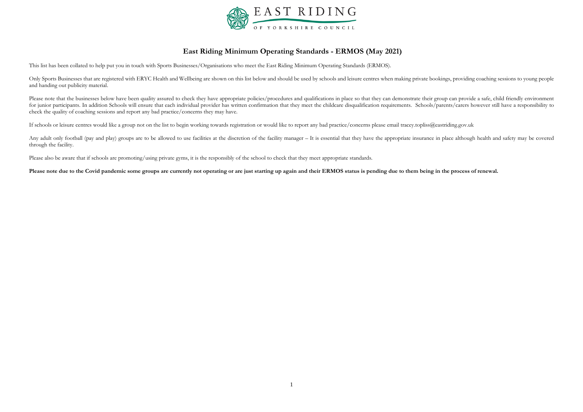

# **East Riding Minimum Operating Standards - ERMOS (May 2021)**

This list has been collated to help put you in touch with Sports Businesses/Organisations who meet the East Riding Minimum Operating Standards (ERMOS).

Only Sports Businesses that are registered with ERYC Health and Wellbeing are shown on this list below and should be used by schools and leisure centres when making private bookings, providing coaching sessions to young pe and handing out publicity material.

Please note that the businesses below have been quality assured to check they have appropriate policies/procedures and qualifications in place so that they can demonstrate their group can provide a safe, child friendly env for junior participants. In addition Schools will ensure that each individual provider has written confirmation that they meet the childcare disqualification requirements. Schools/parents/carers however still have a respon check the quality of coaching sessions and report any bad practice/concerns they may have.

Any adult only football (pay and play) groups are to be allowed to use facilities at the discretion of the facility manager – It is essential that they have the appropriate insurance in place although health and safety may through the facility.

Please also be aware that if schools are promoting/using private gyms, it is the responsibly of the school to check that they meet appropriate standards.

If schools or leisure centres would like a group not on the list to begin working towards registration or would like to report any bad practice/concerns please email [tracey.topliss@eastriding.gov.uk](mailto:tracey.topliss@eastriding.gov.uk)

**Please note due to the Covid pandemic some groups are currently not operating or are just starting up again and their ERMOS status is pending due to them being in the process of renewal.**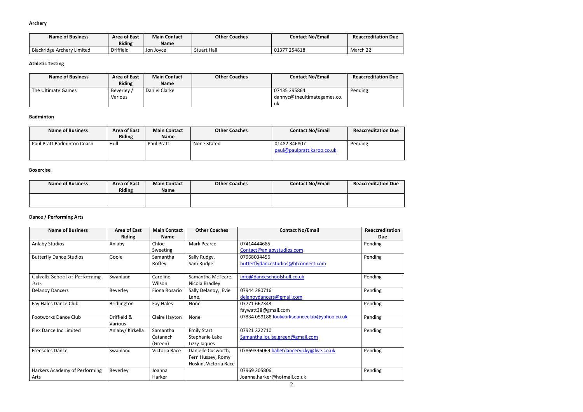#### **Archery**

| <b>Name of Business</b>           | <b>Area of East</b> | <b>Main Contact</b> | <b>Other Coaches</b> | <b>Contact No/Email</b> | <b>Reaccreditation Due</b> |
|-----------------------------------|---------------------|---------------------|----------------------|-------------------------|----------------------------|
|                                   | <b>Riding</b>       | <b>Name</b>         |                      |                         |                            |
| <b>Blackridge Archery Limited</b> | Driffield           | Jon Joyce           | <b>Stuart Hall</b>   | 01377 254818            | $\sim$ $\sim$<br>March 22  |

# **Athletic Testing**

| <b>Name of Business</b> | Area of East   | <b>Main Contact</b> | <b>Other Coaches</b> | <b>Contact No/Email</b>     | <b>Reaccreditation Due</b> |
|-------------------------|----------------|---------------------|----------------------|-----------------------------|----------------------------|
|                         | <b>Riding</b>  | <b>Name</b>         |                      |                             |                            |
| The Ultimate Games      | Beverley /     | Daniel Clarke       |                      | 07435 295864                | Pending                    |
|                         | <b>Various</b> |                     |                      | dannyc@theultimategames.co. |                            |
|                         |                |                     |                      | uk                          |                            |

#### **Badminton**

| <b>Name of Business</b>    | <b>Area of East</b><br><b>Riding</b> | <b>Main Contact</b><br><b>Name</b> | <b>Other Coaches</b> | <b>Contact No/Email</b>                    | <b>Reaccreditation Due</b> |
|----------------------------|--------------------------------------|------------------------------------|----------------------|--------------------------------------------|----------------------------|
| Paul Pratt Badminton Coach | Hull                                 | Paul Pratt                         | None Stated          | 01482 346807<br>paul@paulpratt.karoo.co.uk | Pending                    |

#### **Boxercise**

| <b>Name of Business</b> | <b>Area of East</b><br><b>Riding</b> | <b>Main Contact</b><br><b>Name</b> | <b>Other Coaches</b> | <b>Contact No/Email</b> | <b>Reaccreditation Due</b> |
|-------------------------|--------------------------------------|------------------------------------|----------------------|-------------------------|----------------------------|
|                         |                                      |                                    |                      |                         |                            |

# **Dance / Performing Arts**

| <b>Name of Business</b>        | <b>Area of East</b> | <b>Main Contact</b> | <b>Other Coaches</b>  | <b>Contact No/Email</b>                     | Reaccreditation |
|--------------------------------|---------------------|---------------------|-----------------------|---------------------------------------------|-----------------|
|                                | <b>Riding</b>       | <b>Name</b>         |                       |                                             | Due             |
| <b>Anlaby Studios</b>          | Anlaby              | Chloe               | <b>Mark Pearce</b>    | 07414444685                                 | Pending         |
|                                |                     | Sweeting            |                       | Contact@anlabystudios.com                   |                 |
| <b>Butterfly Dance Studios</b> | Goole               | Samantha            | Sally Rudgy,          | 07968034456                                 | Pending         |
|                                |                     | Roffey              | Sam Rudge             | butterflydancestudios@btconnect.com         |                 |
|                                |                     |                     |                       |                                             |                 |
| Calvella School of Performing  | Swanland            | Caroline            | Samantha McTeare,     | info@danceschoolshull.co.uk                 | Pending         |
| Arts                           |                     | Wilson              | Nicola Bradley        |                                             |                 |
| <b>Delanoy Dancers</b>         | Beverley            | Fiona Rosario       | Sally Delanoy, Evie   | 07944 280716                                | Pending         |
|                                |                     |                     | Lane,                 | delanoydancers@gmail.com                    |                 |
| Fay Hales Dance Club           | <b>Bridlington</b>  | Fay Hales           | None                  | 07771 667343                                | Pending         |
|                                |                     |                     |                       | faywatt38@gmail.com                         |                 |
| <b>Footworks Dance Club</b>    | Driffield &         | Claire Hayton       | None                  | 07834 059186 footworksdanceclub@yahoo.co.uk | Pending         |
|                                | Various             |                     |                       |                                             |                 |
| <b>Flex Dance Inc Limited</b>  | Anlaby/ Kirkella    | Samantha            | <b>Emily Start</b>    | 07921 222710                                | Pending         |
|                                |                     | Catanach            | Stephanie Lake        | Samantha.louise.green@gmail.com             |                 |
|                                |                     | (Green)             | Lizzy Jaques          |                                             |                 |
| <b>Freesoles Dance</b>         | Swanland            | Victoria Race       | Danielle Cusworth,    | 07869396069 balletdancervicky@live.co.uk    | Pending         |
|                                |                     |                     | Fern Hussey, Romy     |                                             |                 |
|                                |                     |                     | Hoskin, Victoria Race |                                             |                 |
| Harkers Academy of Performing  | Beverley            | Joanna              |                       | 07969 205806                                | Pending         |
| Arts                           |                     | Harker              |                       | Joanna.harker@hotmail.co.uk                 |                 |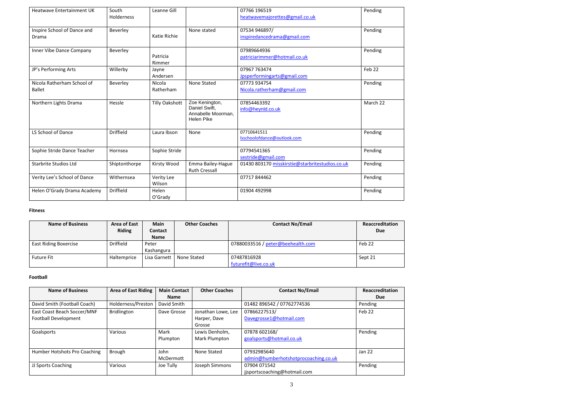| <b>Heatwave Entertainment UK</b>            | South<br><b>Holderness</b> | Leanne Gill           |                                                                     | 07766 196519<br>heatwavemajorettes@gmail.co.uk  | Pending  |
|---------------------------------------------|----------------------------|-----------------------|---------------------------------------------------------------------|-------------------------------------------------|----------|
| Inspire School of Dance and<br>Drama        | Beverley                   | Katie Richie          | None stated                                                         | 07534 946897/<br>inspiredancedrama@gmail.com    | Pending  |
| Inner Vibe Dance Company                    | Beverley                   | Patricia<br>Rimmer    |                                                                     | 07989664936<br>patriciarimmer@hotmail.co.uk     | Pending  |
| JP's Performing Arts                        | Willerby                   | Jayne<br>Andersen     |                                                                     | 07967 763474<br>Jpsperformingarts@gmail.com     | Feb 22   |
| Nicola Ratherham School of<br><b>Ballet</b> | Beverley                   | Nicola<br>Ratherham   | <b>None Stated</b>                                                  | 07773 934754<br>Nicola.ratherham@gmail.com      | Pending  |
| Northern Lights Drama                       | Hessle                     | <b>Tilly Oakshott</b> | Zoe Kenington,<br>Daniel Swift,<br>Annabelle Moorman,<br>Helen Pike | 07854463392<br>info@heynld.co.uk                | March 22 |
| LS School of Dance                          | <b>Driffield</b>           | Laura Ibson           | None                                                                | 07710641511<br>Isschoolofdance@outlook.com      | Pending  |
| Sophie Stride Dance Teacher                 | Hornsea                    | Sophie Stride         |                                                                     | 07794541365<br>sestride@gmail.com               | Pending  |
| <b>Starbrite Studios Ltd</b>                | Shiptonthorpe              | Kirsty Wood           | Emma Bailey-Hague<br><b>Ruth Cressall</b>                           | 01430 803170 misskirstie@starbritestudios.co.uk | Pending  |
| Verity Lee's School of Dance                | Withernsea                 | Verity Lee<br>Wilson  |                                                                     | 07717844462                                     | Pending  |
| Helen O'Grady Drama Academy                 | <b>Driffield</b>           | Helen<br>O'Grady      |                                                                     | 01904 492998                                    | Pending  |

#### **Fitness**

| <b>Name of Business</b>      | <b>Area of East</b><br><b>Riding</b> | Main<br><b>Contact</b> | <b>Other Coaches</b> | <b>Contact No/Email</b>           | Reaccreditation<br><b>Due</b> |
|------------------------------|--------------------------------------|------------------------|----------------------|-----------------------------------|-------------------------------|
| <b>East Riding Boxercise</b> | <b>Driffield</b>                     | <b>Name</b><br>Peter   |                      | 07880033516 / peter@beehealth.com | Feb 22                        |
|                              |                                      | Kashangura             |                      |                                   |                               |
| <b>Future Fit</b>            | Haltemprice                          | Lisa Garnett           | None Stated          | 07487816928                       | Sept 21                       |
|                              |                                      |                        |                      | futurefit@live.co.uk              |                               |

# **Football**

| <b>Name of Business</b>      | <b>Area of East Riding</b> | <b>Main Contact</b> | <b>Other Coaches</b> | <b>Contact No/Email</b>              | Reaccreditation |
|------------------------------|----------------------------|---------------------|----------------------|--------------------------------------|-----------------|
|                              |                            | <b>Name</b>         |                      |                                      | <b>Due</b>      |
| David Smith (Football Coach) | Holderness/Preston         | David Smith         |                      | 01482 896542 / 07762774536           | Pending         |
| East Coast Beach Soccer/MNF  | Bridlington                | Dave Grosse         | Jonathan Lowe, Lee   | 07866227513/                         | Feb 22          |
| <b>Football Development</b>  |                            |                     | Harper, Dave         | Davegrosse1@hotmail.com              |                 |
|                              |                            |                     | Grosse               |                                      |                 |
| Goalsports                   | <b>Various</b>             | Mark                | Lewis Denholm,       | 07878 602168/                        | Pending         |
|                              |                            | Plumpton            | Mark Plumpton        | goalsports@hotmail.co.uk             |                 |
|                              |                            |                     |                      |                                      |                 |
| Humber Hotshots Pro Coaching | Brough                     | John                | None Stated          | 07932985640                          | <b>Jan 22</b>   |
|                              |                            | McDermott           |                      | admin@humberhotshotprocoaching.co.uk |                 |
| JJ Sports Coaching           | Various                    | Joe Tully           | Joseph Simmons       | 07904 071542                         | Pending         |
|                              |                            |                     |                      | jjsportscoaching@hotmail.com         |                 |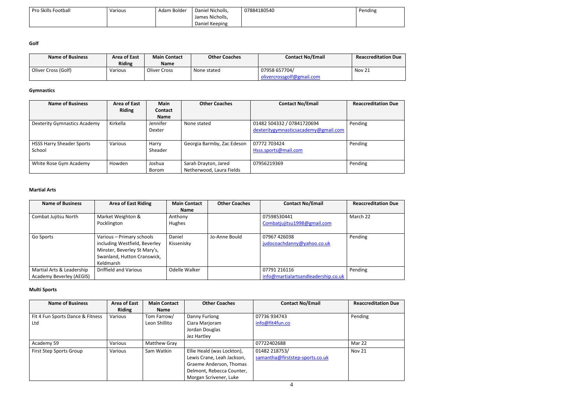| <b>Pro Skills Football</b> | Various | Adam Bolder | Daniel Nicholls, | 07884180540 | Pending |
|----------------------------|---------|-------------|------------------|-------------|---------|
|                            |         |             | James Nicholls,  |             |         |
|                            |         |             | Daniel Keeping   |             |         |

**Golf**

| <b>Name of Business</b> | <b>Area of East</b> | <b>Main Contact</b> | <b>Other Coaches</b> | <b>Contact No/Email</b>   | <b>Reaccreditation Due</b> |
|-------------------------|---------------------|---------------------|----------------------|---------------------------|----------------------------|
|                         | <b>Riding</b>       | Name                |                      |                           |                            |
| Oliver Cross (Golf)     | <b>Various</b>      | Oliver Cross        | None stated          | 07958 657704/             | Nov 21                     |
|                         |                     |                     |                      | olivercrossgolf@gmail.com |                            |

# **Gymnastics**

| <b>Name of Business</b>                    | Area of East<br><b>Riding</b> | <b>Main</b><br><b>Contact</b><br><b>Name</b> | <b>Other Coaches</b>                             | <b>Contact No/Email</b>                                            | <b>Reaccreditation Due</b> |
|--------------------------------------------|-------------------------------|----------------------------------------------|--------------------------------------------------|--------------------------------------------------------------------|----------------------------|
| Dexterity Gymnastics Academy               | Kirkella                      | Jennifer<br>Dexter                           | None stated                                      | 01482 504332 / 07841720694<br>dexteritygymnasticsacademy@gmail.com | Pending                    |
| <b>HSSS Harry Sheader Sports</b><br>School | Various                       | Harry<br>Sheader                             | Georgia Barmby, Zac Edeson                       | 07772 703424<br>Hsss.sports@mail.com                               | Pending                    |
| White Rose Gym Academy                     | Howden                        | Joshua<br>Borom                              | Sarah Drayton, Jared<br>Netherwood, Laura Fields | 07956219369                                                        | Pending                    |

#### **Martial Arts**

| <b>Name of Business</b>   | <b>Area of East Riding</b>    | <b>Main Contact</b> | <b>Other Coaches</b> | <b>Contact No/Email</b>             | <b>Reaccreditation Due</b> |
|---------------------------|-------------------------------|---------------------|----------------------|-------------------------------------|----------------------------|
|                           |                               | <b>Name</b>         |                      |                                     |                            |
| Combat Jujitsu North      | Market Weighton &             | Anthony             |                      | 07598530441                         | March 22                   |
|                           | Pocklington                   | Hughes              |                      | Combatjujitsu1998@gmail.com         |                            |
|                           |                               |                     |                      |                                     |                            |
| Go Sports                 | Various - Primary schools     | Daniel              | Jo-Anne Bould        | 07967 426038                        | Pending                    |
|                           | including Westfield, Beverley | Kissenisky          |                      | judocoachdanny@yahoo.co.uk          |                            |
|                           | Minster, Beverley St Mary's,  |                     |                      |                                     |                            |
|                           | Swanland, Hutton Cranswick,   |                     |                      |                                     |                            |
|                           | Keldmarsh                     |                     |                      |                                     |                            |
| Martial Arts & Leadership | <b>Driffield and Various</b>  | Odelle Walker       |                      | 07791 216116                        | Pending                    |
| Academy Beverley (AEGIS)  |                               |                     |                      | info@martialartsandleadership.co.uk |                            |

# **Multi Sports**

| <b>Name of Business</b>          | <b>Area of East</b> | <b>Main Contact</b> | <b>Other Coaches</b>       | <b>Contact No/Email</b>         | <b>Reaccreditation Due</b> |
|----------------------------------|---------------------|---------------------|----------------------------|---------------------------------|----------------------------|
|                                  | <b>Riding</b>       | <b>Name</b>         |                            |                                 |                            |
| Fit 4 Fun Sports Dance & Fitness | Various             | Tom Farrow/         | Danny Furlong              | 07736 934743                    | Pending                    |
| Ltd                              |                     | Leon Shillito       | Ciara Marjoram             | info@fit4fun.co                 |                            |
|                                  |                     |                     | Jordan Douglas             |                                 |                            |
|                                  |                     |                     | Jez Hartley                |                                 |                            |
| Academy 59                       | Various             | Matthew Gray        |                            | 07722402688                     | Mar 22                     |
| First Step Sports Group          | Various             | Sam Watkin          | Ellie Heald (was Lockton), | 01482 218753/                   | <b>Nov 21</b>              |
|                                  |                     |                     | Lewis Crane, Leah Jackson, | samantha@firststep-sports.co.uk |                            |
|                                  |                     |                     | Graeme Anderson, Thomas    |                                 |                            |
|                                  |                     |                     | Delmont, Rebecca Counter,  |                                 |                            |
|                                  |                     |                     | Morgan Scrivener, Luke     |                                 |                            |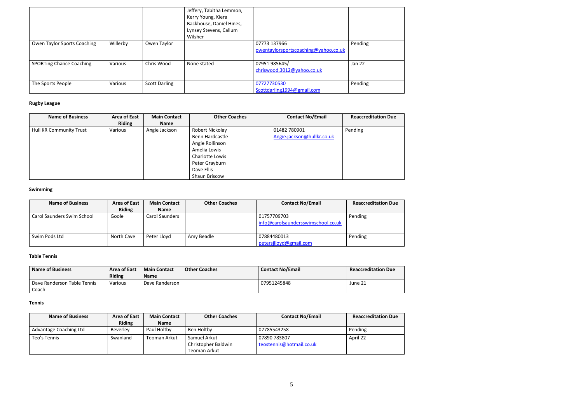|                                 |          |                      | Jeffery, Tabitha Lemmon,<br>Kerry Young, Kiera<br>Backhouse, Daniel Hines,<br>Lynsey Stevens, Callum<br>Wilsher |                                                      |               |
|---------------------------------|----------|----------------------|-----------------------------------------------------------------------------------------------------------------|------------------------------------------------------|---------------|
| Owen Taylor Sports Coaching     | Willerby | Owen Taylor          |                                                                                                                 | 07773 137966<br>owentaylorsportscoaching@yahoo.co.uk | Pending       |
| <b>SPORTing Chance Coaching</b> | Various  | Chris Wood           | None stated                                                                                                     | 07951 985645/<br>chriswood.3012@yahoo.co.uk          | <b>Jan 22</b> |
| The Sports People               | Various  | <b>Scott Darling</b> |                                                                                                                 | 07727730530<br>Scottdarling1994@gmail.com            | Pending       |

# **Rugby League**

| <b>Name of Business</b>        | <b>Area of East</b><br><b>Riding</b> | <b>Main Contact</b><br><b>Name</b> | <b>Other Coaches</b> | <b>Contact No/Email</b>    | <b>Reaccreditation Due</b> |
|--------------------------------|--------------------------------------|------------------------------------|----------------------|----------------------------|----------------------------|
| <b>Hull KR Community Trust</b> | Various                              | Angie Jackson                      | Robert Nickolay      | 01482 780901               | Pending                    |
|                                |                                      |                                    | Benn Hardcastle      | Angie.jackson@hullkr.co.uk |                            |
|                                |                                      |                                    | Angie Rollinson      |                            |                            |
|                                |                                      |                                    | Amelia Lowis         |                            |                            |
|                                |                                      |                                    | Charlotte Lowis      |                            |                            |
|                                |                                      |                                    | Peter Grayburn       |                            |                            |
|                                |                                      |                                    | Dave Ellis           |                            |                            |
|                                |                                      |                                    | Shaun Briscow        |                            |                            |

#### **Swimming**

| <b>Name of Business</b>    | <b>Area of East</b> | <b>Main Contact</b> | <b>Other Coaches</b> | <b>Contact No/Email</b>            | <b>Reaccreditation Due</b> |
|----------------------------|---------------------|---------------------|----------------------|------------------------------------|----------------------------|
|                            | <b>Riding</b>       | <b>Name</b>         |                      |                                    |                            |
| Carol Saunders Swim School | Goole               | Carol Saunders      |                      | 01757709703                        | Pending                    |
|                            |                     |                     |                      | info@carolsaundersswimschool.co.uk |                            |
| Swim Pods Ltd              | North Cave          | Peter Lloyd         | Amy Beadle           | 07884480013                        | Pending                    |
|                            |                     |                     |                      | petersjlloyd@gmail.com             |                            |

#### **Table Tennis**

| <b>Name of Business</b>     | Area of East  | <b>Main Contact</b> | <b>Other Coaches</b> | <b>Contact No/Email</b> | <b>Reaccreditation Due</b> |
|-----------------------------|---------------|---------------------|----------------------|-------------------------|----------------------------|
|                             | <b>Riding</b> | <b>Name</b>         |                      |                         |                            |
| Dave Randerson Table Tennis | Various       | Dave Randerson      |                      | 07951245848             | June 21                    |
| Coach                       |               |                     |                      |                         |                            |

#### **Tennis**

| <b>Name of Business</b> | <b>Area of East</b> | <b>Main Contact</b> | <b>Other Coaches</b> | <b>Contact No/Email</b>  | <b>Reaccreditation Due</b> |
|-------------------------|---------------------|---------------------|----------------------|--------------------------|----------------------------|
|                         | <b>Riding</b>       | <b>Name</b>         |                      |                          |                            |
| Advantage Coaching Ltd  | <b>Beverley</b>     | Paul Holtby         | Ben Holtby           | 07785543258              | Pending                    |
| Teo's Tennis            | Swanland            | Teoman Arkut        | Samuel Arkut         | 07890 783807             | April 22                   |
|                         |                     |                     | Christopher Baldwin  | teostennis@hotmail.co.uk |                            |
|                         |                     |                     | Teoman Arkut         |                          |                            |